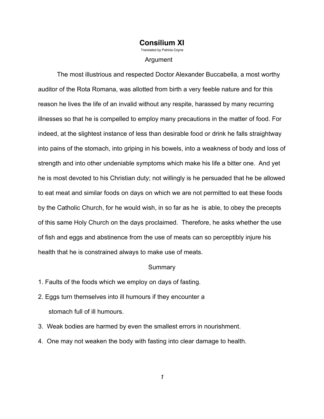# **Consilium XI**<br>Translated by Patricia Covne

Argument

 The most illustrious and respected Doctor Alexander Buccabella, a most worthy auditor of the Rota Romana, was allotted from birth a very feeble nature and for this reason he lives the life of an invalid without any respite, harassed by many recurring illnesses so that he is compelled to employ many precautions in the matter of food. For indeed, at the slightest instance of less than desirable food or drink he falls straightway into pains of the stomach, into griping in his bowels, into a weakness of body and loss of strength and into other undeniable symptoms which make his life a bitter one. And yet he is most devoted to his Christian duty; not willingly is he persuaded that he be allowed to eat meat and similar foods on days on which we are not permitted to eat these foods by the Catholic Church, for he would wish, in so far as he is able, to obey the precepts of this same Holy Church on the days proclaimed. Therefore, he asks whether the use of fish and eggs and abstinence from the use of meats can so perceptibly injure his health that he is constrained always to make use of meats.

#### Summary

- 1. Faults of the foods which we employ on days of fasting.
- 2. Eggs turn themselves into ill humours if they encounter a stomach full of ill humours.
- 3. Weak bodies are harmed by even the smallest errors in nourishment.
- 4. One may not weaken the body with fasting into clear damage to health.

*1*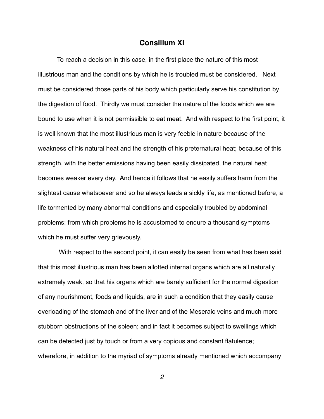### **Consilium XI**

 To reach a decision in this case, in the first place the nature of this most illustrious man and the conditions by which he is troubled must be considered. Next must be considered those parts of his body which particularly serve his constitution by the digestion of food. Thirdly we must consider the nature of the foods which we are bound to use when it is not permissible to eat meat. And with respect to the first point, it is well known that the most illustrious man is very feeble in nature because of the weakness of his natural heat and the strength of his preternatural heat; because of this strength, with the better emissions having been easily dissipated, the natural heat becomes weaker every day. And hence it follows that he easily suffers harm from the slightest cause whatsoever and so he always leads a sickly life, as mentioned before, a life tormented by many abnormal conditions and especially troubled by abdominal problems; from which problems he is accustomed to endure a thousand symptoms which he must suffer very grievously.

 With respect to the second point, it can easily be seen from what has been said that this most illustrious man has been allotted internal organs which are all naturally extremely weak, so that his organs which are barely sufficient for the normal digestion of any nourishment, foods and liquids, are in such a condition that they easily cause overloading of the stomach and of the liver and of the Meseraic veins and much more stubborn obstructions of the spleen; and in fact it becomes subject to swellings which can be detected just by touch or from a very copious and constant flatulence; wherefore, in addition to the myriad of symptoms already mentioned which accompany

*2*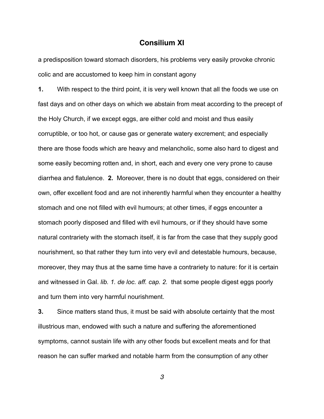### **Consilium XI**

a predisposition toward stomach disorders, his problems very easily provoke chronic colic and are accustomed to keep him in constant agony

**1.** With respect to the third point, it is very well known that all the foods we use on fast days and on other days on which we abstain from meat according to the precept of the Holy Church, if we except eggs, are either cold and moist and thus easily corruptible, or too hot, or cause gas or generate watery excrement; and especially there are those foods which are heavy and melancholic, some also hard to digest and some easily becoming rotten and, in short, each and every one very prone to cause diarrhea and flatulence. **2.** Moreover, there is no doubt that eggs, considered on their own, offer excellent food and are not inherently harmful when they encounter a healthy stomach and one not filled with evil humours; at other times, if eggs encounter a stomach poorly disposed and filled with evil humours, or if they should have some natural contrariety with the stomach itself, it is far from the case that they supply good nourishment, so that rather they turn into very evil and detestable humours, because, moreover, they may thus at the same time have a contrariety to nature: for it is certain and witnessed in Gal. *lib. 1. de loc. aff. cap. 2.* that some people digest eggs poorly and turn them into very harmful nourishment.

**3.** Since matters stand thus, it must be said with absolute certainty that the most illustrious man, endowed with such a nature and suffering the aforementioned symptoms, cannot sustain life with any other foods but excellent meats and for that reason he can suffer marked and notable harm from the consumption of any other

*3*